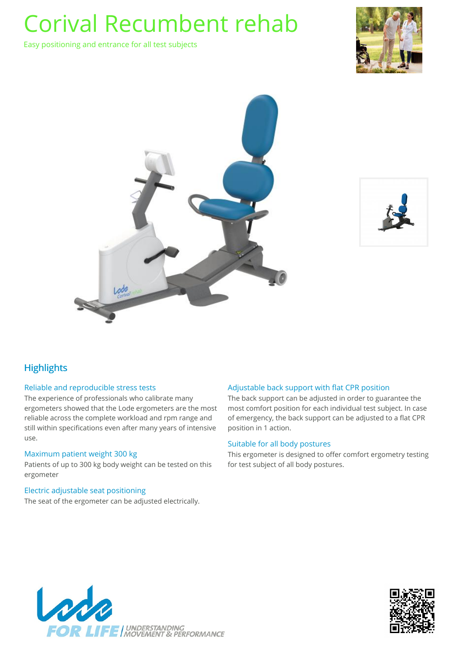Easy positioning and entrance for all test subjects







## **Highlights**

### Reliable and reproducible stress tests

The experience of professionals who calibrate many ergometers showed that the Lode ergometers are the most reliable across the complete workload and rpm range and still within specifications even after many years of intensive use.

#### Maximum patient weight 300 kg

Patients of up to 300 kg body weight can be tested on this ergometer

### Electric adjustable seat positioning

The seat of the ergometer can be adjusted electrically.

### Adjustable back support with flat CPR position

The back support can be adjusted in order to guarantee the most comfort position for each individual test subject. In case of emergency, the back support can be adjusted to a flat CPR position in 1 action.

#### Suitable for all body postures

This ergometer is designed to offer comfort ergometry testing for test subject of all body postures.



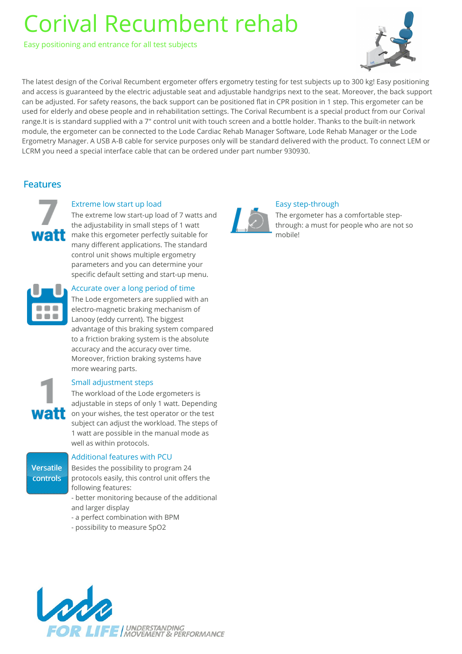Easy positioning and entrance for all test subjects



The latest design of the Corival Recumbent ergometer offers ergometry testing for test subjects up to 300 kg! Easy positioning and access is guaranteed by the electric adjustable seat and adjustable handgrips next to the seat. Moreover, the back support can be adjusted. For safety reasons, the back support can be positioned flat in CPR position in 1 step. This ergometer can be used for elderly and obese people and in rehabilitation settings. The Corival Recumbent is a special product from our Corival range.It is is standard supplied with a 7" control unit with touch screen and a bottle holder. Thanks to the built-in network module, the ergometer can be connected to the Lode Cardiac Rehab Manager Software, Lode Rehab Manager or the Lode Ergometry Manager. A USB A-B cable for service purposes only will be standard delivered with the product. To connect LEM or LCRM you need a special interface cable that can be ordered under part number 930930.

## Features



## Extreme low start up load

The extreme low start-up load of 7 watts and the adjustability in small steps of 1 watt **MAT** make this ergometer perfectly suitable for many different applications. The standard control unit shows multiple ergometry parameters and you can determine your specific default setting and start-up menu.



### Accurate over a long period of time

The Lode ergometers are supplied with an electro-magnetic braking mechanism of Lanooy (eddy current). The biggest advantage of this braking system compared to a friction braking system is the absolute accuracy and the accuracy over time. Moreover, friction braking systems have more wearing parts.

## Small adjustment steps

The workload of the Lode ergometers is adjustable in steps of only 1 watt. Depending **Watt** on your wishes, the test operator or the test subject can adjust the workload. The steps of 1 watt are possible in the manual mode as well as within protocols.

Versatile controls

## Additional features with PCU

Besides the possibility to program 24 protocols easily, this control unit offers the following features:

- better monitoring because of the additional and larger display
- a perfect combination with BPM
- possibility to measure SpO2



## Easy step-through

The ergometer has a comfortable stepthrough: a must for people who are not so mobile!

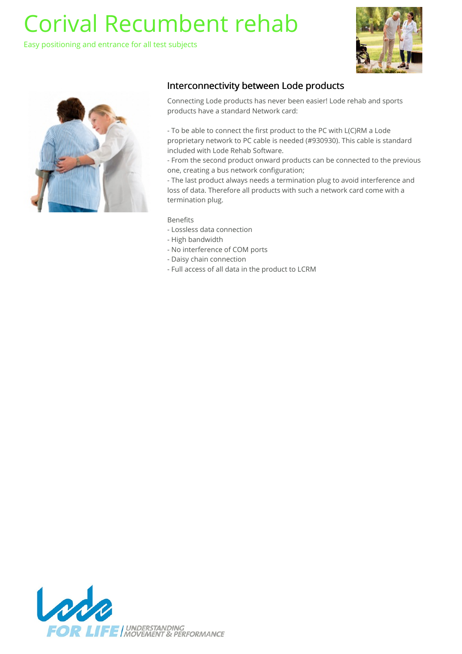Easy positioning and entrance for all test subjects





## Interconnectivity between Lode products

Connecting Lode products has never been easier! Lode rehab and sports products have a standard Network card:

- To be able to connect the first product to the PC with L(C)RM a Lode proprietary network to PC cable is needed (#930930). This cable is standard included with Lode Rehab Software.

- From the second product onward products can be connected to the previous one, creating a bus network configuration;

- The last product always needs a termination plug to avoid interference and loss of data. Therefore all products with such a network card come with a termination plug.

### Benefits

- Lossless data connection
- High bandwidth
- No interference of COM ports
- Daisy chain connection
- Full access of all data in the product to LCRM

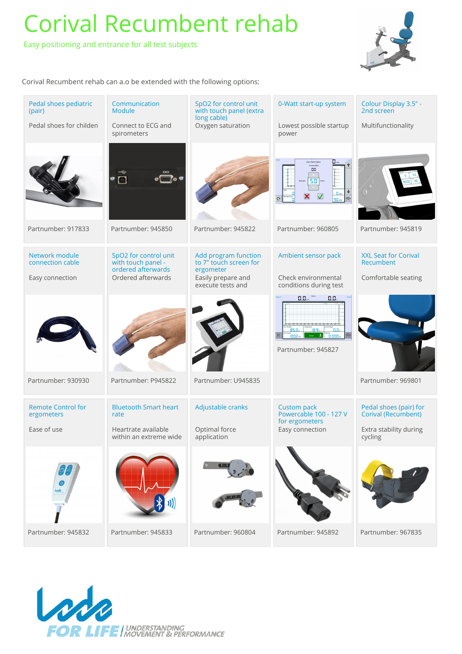Easy positioning and entrance for all test subjects



Corival Recumbent rehab can a.o be extended with the following options:

| Pedal shoes pediatric<br>(pair)         | Communication<br><b>Module</b>                                    | SpO2 for control unit<br>with touch panel (extra<br>long cable) | 0-Watt start-up system                                                                                      | Colour Display 3.5" -<br>2nd screen           |
|-----------------------------------------|-------------------------------------------------------------------|-----------------------------------------------------------------|-------------------------------------------------------------------------------------------------------------|-----------------------------------------------|
| Pedal shoes for childen                 | Connect to ECG and<br>spirometers                                 | Oxygen saturation                                               | Lowest possible startup<br>power                                                                            | Multifunctionality                            |
|                                         | $\circ$ $\circ$<br>$\Box$                                         |                                                                 | 88.<br>50                                                                                                   |                                               |
| Partnumber: 917833                      | Partnumber: 945850                                                | Partnumber: 945822                                              | Partnumber: 960805                                                                                          | Partnumber: 945819                            |
| Network module<br>connection cable      | SpO2 for control unit<br>with touch panel -<br>ordered afterwards | Add program function<br>to 7" touch screen for<br>ergometer     | Ambient sensor pack                                                                                         | <b>XXL Seat for Corival</b><br>Recumbent      |
| Easy connection                         | Ordered afterwards                                                | Easily prepare and<br>execute tests and                         | Check environmental<br>conditions during test                                                               | Comfortable seating                           |
|                                         |                                                                   |                                                                 | $0.0 -$<br>0.0,<br>$18.9 -$<br>85.0.<br>b.o.<br>$\mathbb{R}$<br>$1002 -$<br>$0.000 -$<br>Partnumber: 945827 |                                               |
| Partnumber: 930930                      | Partnumber: P945822                                               | Partnumber: U945835                                             |                                                                                                             | Partnumber: 969801                            |
| <b>Remote Control for</b><br>ergometers | <b>Bluetooth Smart heart</b><br>rate                              | Adjustable cranks                                               | <b>Custom pack</b><br>Powercable 100 - 127 V<br>for ergometers                                              | Pedal shoes (pair) for<br>Corival (Recumbent) |
| Ease of use                             | Heartrate available<br>within an extreme wide                     | Optimal force<br>application                                    | Easy connection                                                                                             | Extra stability during<br>cycling             |
|                                         |                                                                   | <b>TAN</b>                                                      |                                                                                                             |                                               |
| Partnumber: 945832                      | Partnumber: 945833                                                | Partnumber: 960804                                              | Partnumber: 945892                                                                                          | Partnumber: 967835                            |

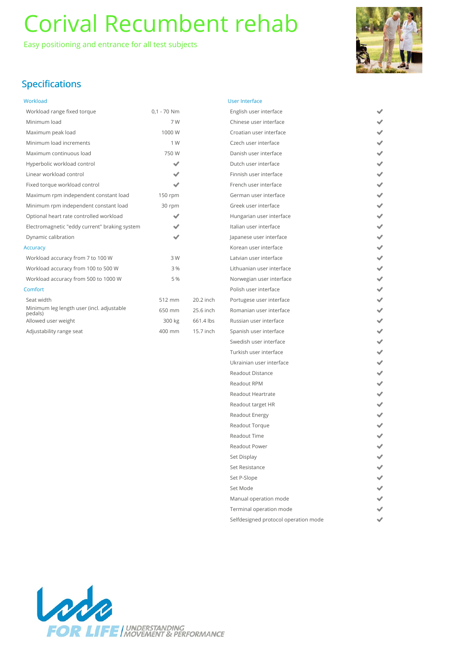Easy positioning and entrance for all test subjects



へんへんへんへん へんへんへん へんへんへん へんへんへん へんへんへんへん へんへん

## Specifications

| Workload |  |  |  |
|----------|--|--|--|
|          |  |  |  |

| Workload range fixed torque                          | $0,1 - 70$ Nm |           |
|------------------------------------------------------|---------------|-----------|
| Minimum load                                         | 7W            |           |
| Maximum peak load                                    | 1000 W        |           |
| Minimum load increments                              | 1 W           |           |
| Maximum continuous load                              | 750 W         |           |
| Hyperbolic workload control                          | ✔             |           |
| Linear workload control                              | ✓             |           |
| Fixed torque workload control                        |               |           |
| Maximum rpm independent constant load                | 150 rpm       |           |
| Minimum rpm independent constant load                | 30 rpm        |           |
| Optional heart rate controlled workload              |               |           |
| Electromagnetic "eddy current" braking system        |               |           |
| Dynamic calibration                                  |               |           |
| <b>Accuracy</b>                                      |               |           |
| Workload accuracy from 7 to 100 W                    | 3 W           |           |
| Workload accuracy from 100 to 500 W                  | 3 %           |           |
| Workload accuracy from 500 to 1000 W                 | 5 %           |           |
| Comfort                                              |               |           |
| Seat width                                           | 512 mm        | 20.2 inch |
| Minimum leg length user (incl. adjustable<br>pedals) | 650 mm        | 25.6 inch |
| Allowed user weight                                  | 300 kg        | 661.4 lbs |
| Adjustability range seat                             | 400 mm        | 15.7 inch |

| <b>User Interface</b>                |
|--------------------------------------|
| English user interface               |
| Chinese user interface               |
| Croatian user interface              |
| Czech user interface                 |
| Danish user interface                |
| Dutch user interface                 |
| Finnish user interface               |
| French user interface                |
| German user interface                |
| Greek user interface                 |
| Hungarian user interface             |
| Italian user interface               |
| Japanese user interface              |
| Korean user interface                |
| Latvian user interface               |
| Lithuanian user interface            |
| Norwegian user interface             |
| Polish user interface                |
| Portugese user interface             |
| Romanian user interface              |
| Russian user interface               |
| Spanish user interface               |
| Swedish user interface               |
| Turkish user interface               |
| Ukrainian user interface             |
| <b>Readout Distance</b>              |
| Readout RPM                          |
| Readout Heartrate                    |
| Readout target HR                    |
| Readout Energy                       |
| Readout Torque                       |
| <b>Readout Time</b>                  |
| <b>Readout Power</b>                 |
| Set Display                          |
| Set Resistance                       |
| Set P-Slope                          |
| Set Mode                             |
| Manual operation mode                |
| Terminal operation mode              |
| Selfdesigned protocol operation mode |